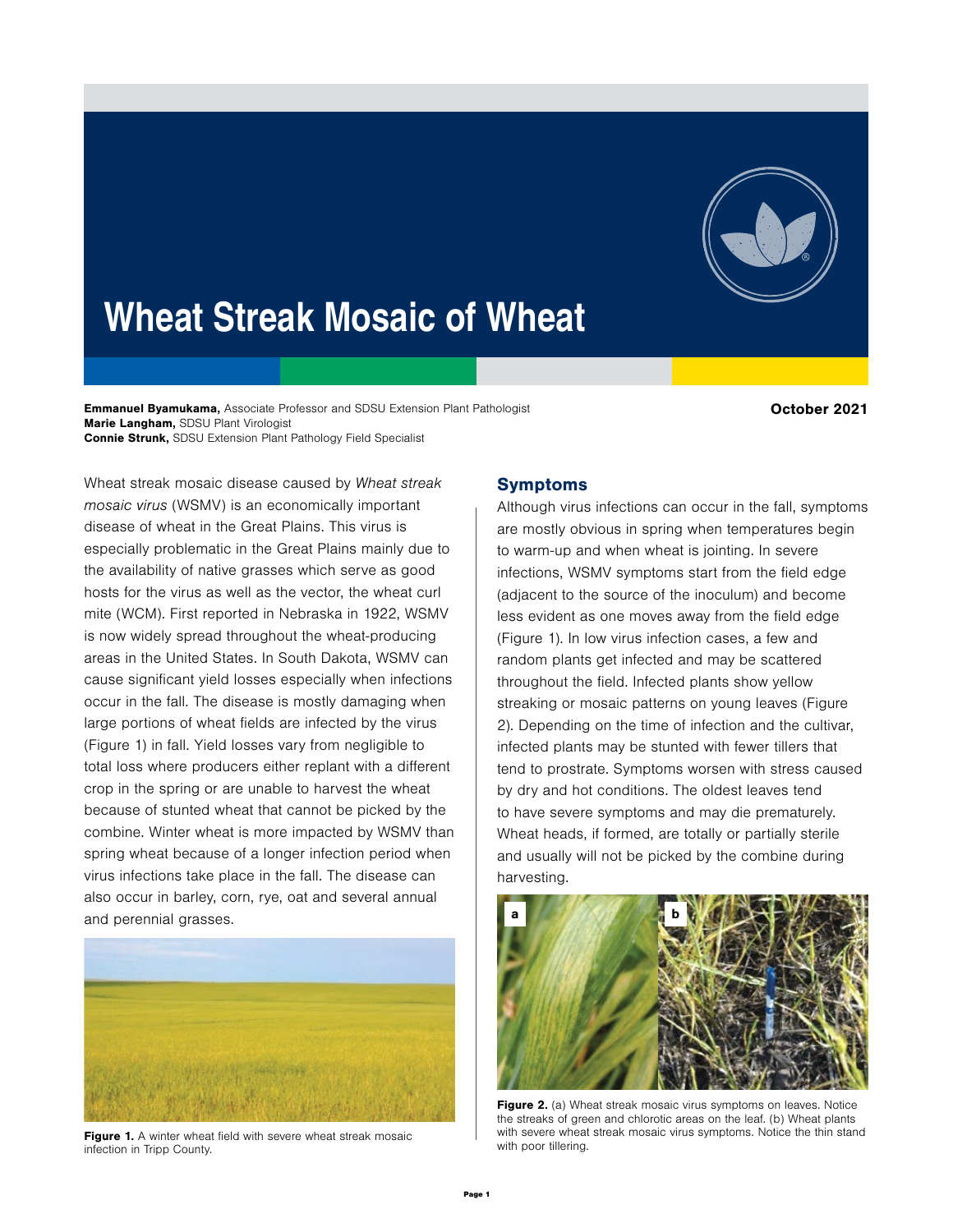

# Wheat Streak Mosaic of Wheat

Emmanuel Byamukama, Associate Professor and SDSU Extension Plant Pathologist Marie Langham, SDSU Plant Virologist Connie Strunk, SDSU Extension Plant Pathology Field Specialist

October 2021

Wheat streak mosaic disease caused by Wheat streak mosaic virus (WSMV) is an economically important disease of wheat in the Great Plains. This virus is especially problematic in the Great Plains mainly due to the availability of native grasses which serve as good hosts for the virus as well as the vector, the wheat curl mite (WCM). First reported in Nebraska in 1922, WSMV is now widely spread throughout the wheat-producing areas in the United States. In South Dakota, WSMV can cause significant yield losses especially when infections occur in the fall. The disease is mostly damaging when large portions of wheat fields are infected by the virus (Figure 1) in fall. Yield losses vary from negligible to total loss where producers either replant with a different crop in the spring or are unable to harvest the wheat because of stunted wheat that cannot be picked by the combine. Winter wheat is more impacted by WSMV than spring wheat because of a longer infection period when virus infections take place in the fall. The disease can also occur in barley, corn, rye, oat and several annual and perennial grasses.



Figure 1. A winter wheat field with severe wheat streak mosaic infection in Tripp County.

## Symptoms

Although virus infections can occur in the fall, symptoms are mostly obvious in spring when temperatures begin to warm-up and when wheat is jointing. In severe infections, WSMV symptoms start from the field edge (adjacent to the source of the inoculum) and become less evident as one moves away from the field edge (Figure 1). In low virus infection cases, a few and random plants get infected and may be scattered throughout the field. Infected plants show yellow streaking or mosaic patterns on young leaves (Figure 2). Depending on the time of infection and the cultivar, infected plants may be stunted with fewer tillers that tend to prostrate. Symptoms worsen with stress caused by dry and hot conditions. The oldest leaves tend to have severe symptoms and may die prematurely. Wheat heads, if formed, are totally or partially sterile and usually will not be picked by the combine during harvesting.



Figure 2. (a) Wheat streak mosaic virus symptoms on leaves. Notice the streaks of green and chlorotic areas on the leaf. (b) Wheat plants with severe wheat streak mosaic virus symptoms. Notice the thin stand with poor tillering.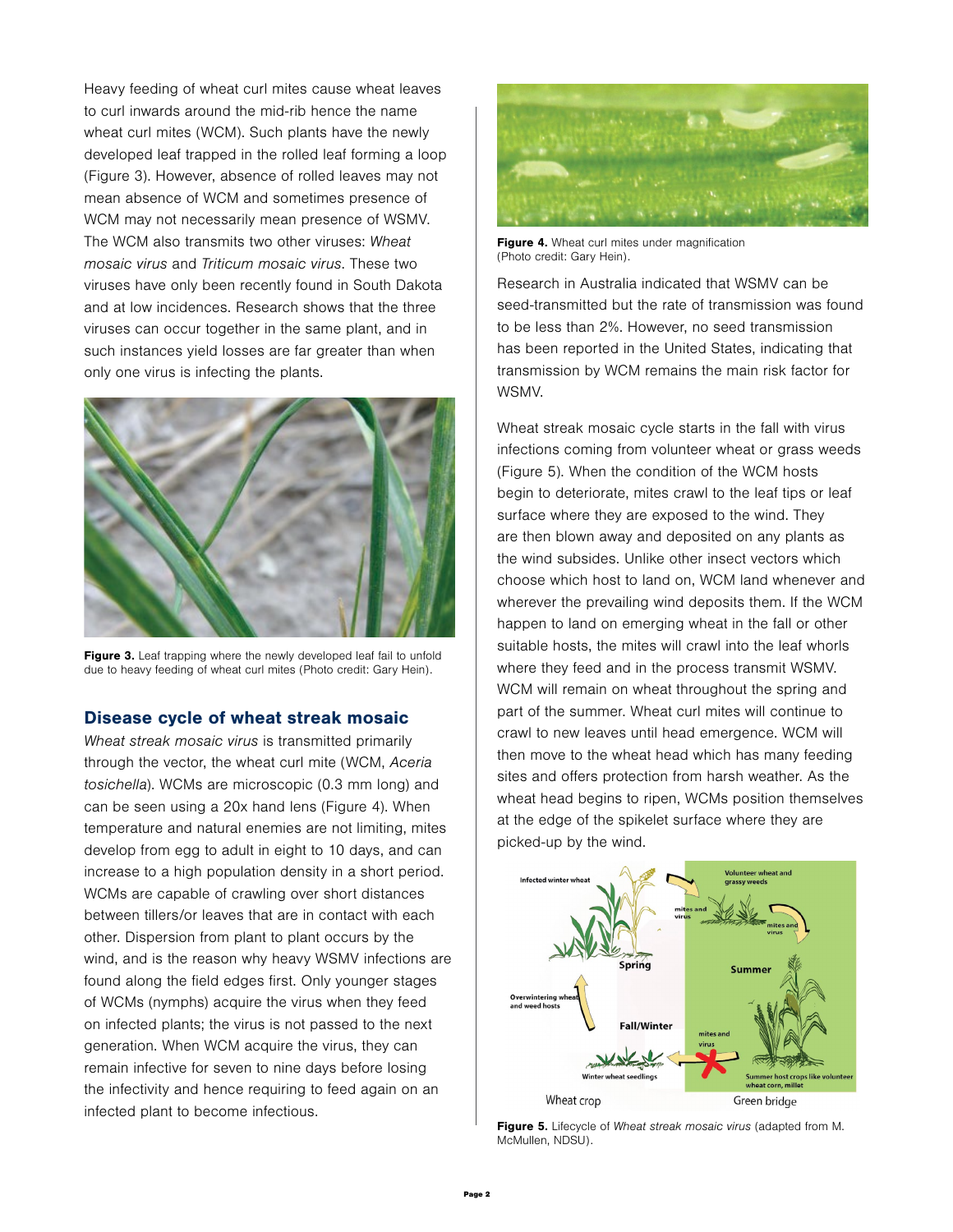Heavy feeding of wheat curl mites cause wheat leaves to curl inwards around the mid-rib hence the name wheat curl mites (WCM). Such plants have the newly developed leaf trapped in the rolled leaf forming a loop (Figure 3). However, absence of rolled leaves may not mean absence of WCM and sometimes presence of WCM may not necessarily mean presence of WSMV. The WCM also transmits two other viruses: Wheat mosaic virus and Triticum mosaic virus. These two viruses have only been recently found in South Dakota and at low incidences. Research shows that the three viruses can occur together in the same plant, and in such instances yield losses are far greater than when only one virus is infecting the plants.



Figure 3. Leaf trapping where the newly developed leaf fail to unfold due to heavy feeding of wheat curl mites (Photo credit: Gary Hein).

#### Disease cycle of wheat streak mosaic

Wheat streak mosaic virus is transmitted primarily through the vector, the wheat curl mite (WCM, Aceria tosichella). WCMs are microscopic (0.3 mm long) and can be seen using a 20x hand lens (Figure 4). When temperature and natural enemies are not limiting, mites develop from egg to adult in eight to 10 days, and can increase to a high population density in a short period. WCMs are capable of crawling over short distances between tillers/or leaves that are in contact with each other. Dispersion from plant to plant occurs by the wind, and is the reason why heavy WSMV infections are found along the field edges first. Only younger stages of WCMs (nymphs) acquire the virus when they feed on infected plants; the virus is not passed to the next generation. When WCM acquire the virus, they can remain infective for seven to nine days before losing the infectivity and hence requiring to feed again on an infected plant to become infectious.



Figure 4. Wheat curl mites under magnification (Photo credit: Gary Hein).

Research in Australia indicated that WSMV can be seed-transmitted but the rate of transmission was found to be less than 2%. However, no seed transmission has been reported in the United States, indicating that transmission by WCM remains the main risk factor for WSMV.

Wheat streak mosaic cycle starts in the fall with virus infections coming from volunteer wheat or grass weeds (Figure 5). When the condition of the WCM hosts begin to deteriorate, mites crawl to the leaf tips or leaf surface where they are exposed to the wind. They are then blown away and deposited on any plants as the wind subsides. Unlike other insect vectors which choose which host to land on, WCM land whenever and wherever the prevailing wind deposits them. If the WCM happen to land on emerging wheat in the fall or other suitable hosts, the mites will crawl into the leaf whorls where they feed and in the process transmit WSMV. WCM will remain on wheat throughout the spring and part of the summer. Wheat curl mites will continue to crawl to new leaves until head emergence. WCM will then move to the wheat head which has many feeding sites and offers protection from harsh weather. As the wheat head begins to ripen, WCMs position themselves at the edge of the spikelet surface where they are picked-up by the wind.



Figure 5. Lifecycle of Wheat streak mosaic virus (adapted from M. McMullen, NDSU).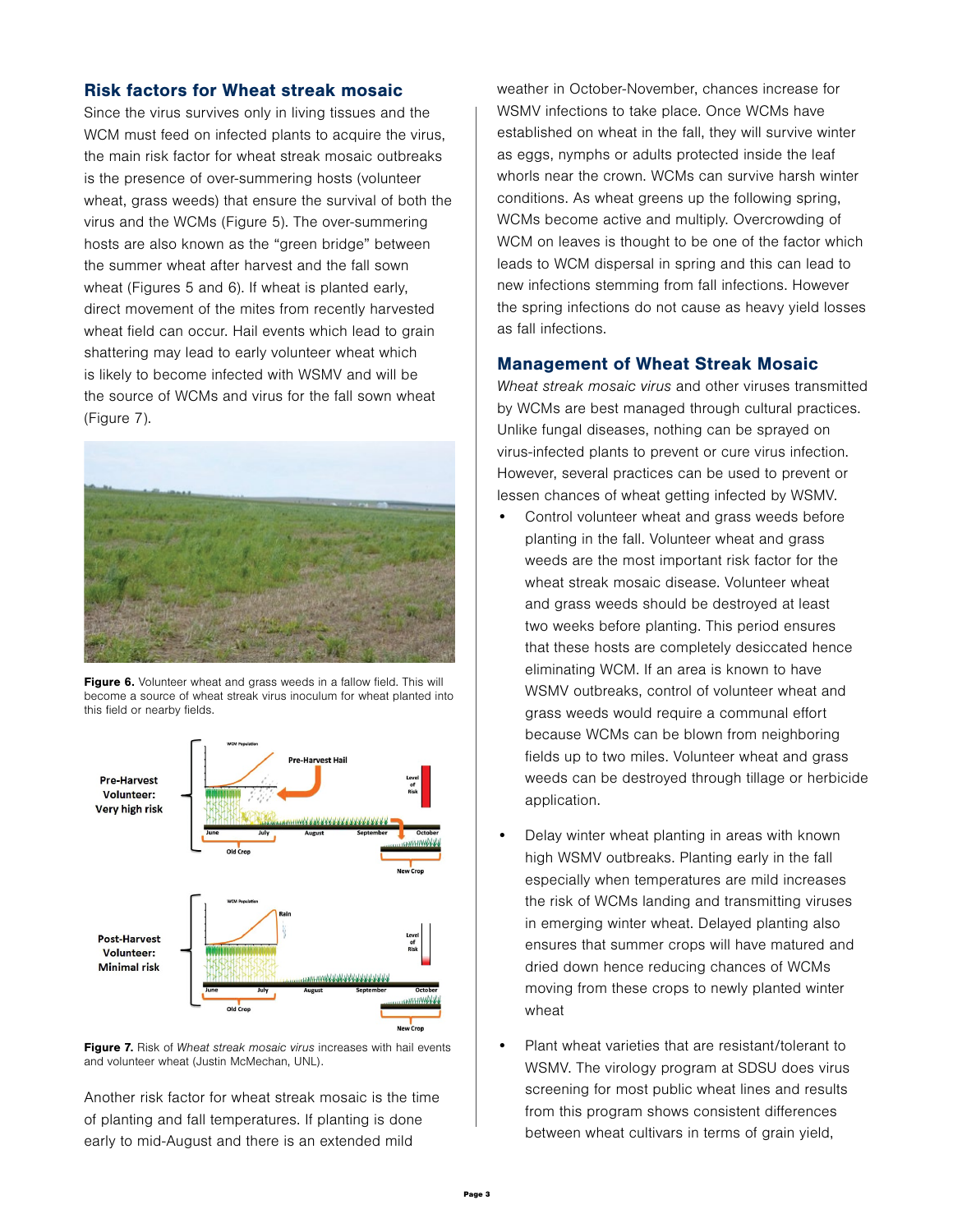#### Risk factors for Wheat streak mosaic

Since the virus survives only in living tissues and the WCM must feed on infected plants to acquire the virus, the main risk factor for wheat streak mosaic outbreaks is the presence of over-summering hosts (volunteer wheat, grass weeds) that ensure the survival of both the virus and the WCMs (Figure 5). The over-summering hosts are also known as the "green bridge" between the summer wheat after harvest and the fall sown wheat (Figures 5 and 6). If wheat is planted early, direct movement of the mites from recently harvested wheat field can occur. Hail events which lead to grain shattering may lead to early volunteer wheat which is likely to become infected with WSMV and will be the source of WCMs and virus for the fall sown wheat (Figure 7).



Figure 6. Volunteer wheat and grass weeds in a fallow field. This will become a source of wheat streak virus inoculum for wheat planted into this field or nearby fields.





Another risk factor for wheat streak mosaic is the time of planting and fall temperatures. If planting is done early to mid-August and there is an extended mild

weather in October-November, chances increase for WSMV infections to take place. Once WCMs have established on wheat in the fall, they will survive winter as eggs, nymphs or adults protected inside the leaf whorls near the crown. WCMs can survive harsh winter conditions. As wheat greens up the following spring, WCMs become active and multiply. Overcrowding of WCM on leaves is thought to be one of the factor which leads to WCM dispersal in spring and this can lead to new infections stemming from fall infections. However the spring infections do not cause as heavy yield losses as fall infections.

### Management of Wheat Streak Mosaic

Wheat streak mosaic virus and other viruses transmitted by WCMs are best managed through cultural practices. Unlike fungal diseases, nothing can be sprayed on virus-infected plants to prevent or cure virus infection. However, several practices can be used to prevent or lessen chances of wheat getting infected by WSMV.

- Control volunteer wheat and grass weeds before planting in the fall. Volunteer wheat and grass weeds are the most important risk factor for the wheat streak mosaic disease. Volunteer wheat and grass weeds should be destroyed at least two weeks before planting. This period ensures that these hosts are completely desiccated hence eliminating WCM. If an area is known to have WSMV outbreaks, control of volunteer wheat and grass weeds would require a communal effort because WCMs can be blown from neighboring fields up to two miles. Volunteer wheat and grass weeds can be destroyed through tillage or herbicide application.
- Delay winter wheat planting in areas with known high WSMV outbreaks. Planting early in the fall especially when temperatures are mild increases the risk of WCMs landing and transmitting viruses in emerging winter wheat. Delayed planting also ensures that summer crops will have matured and dried down hence reducing chances of WCMs moving from these crops to newly planted winter wheat
- Plant wheat varieties that are resistant/tolerant to WSMV. The virology program at SDSU does virus screening for most public wheat lines and results from this program shows consistent differences between wheat cultivars in terms of grain yield,